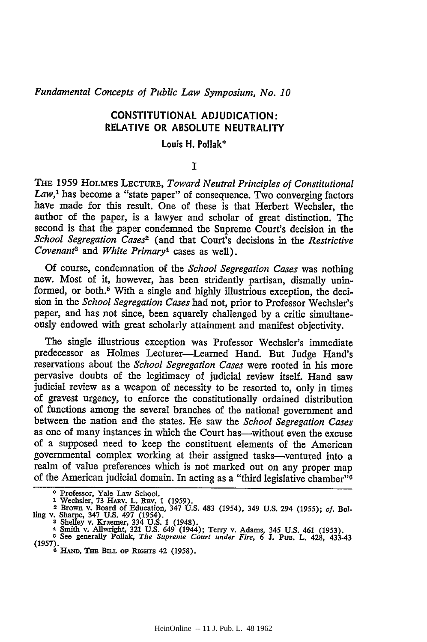*Fundamental Concepts of Public Law Symposium, No. 10*

## **CONSTITUTIONAL ADJUDICATION:** RELATIVE OR **ABSOLUTE NEUTRALITY**

## Louis H. **Pollak\***

## **I**

THE 1959 HOLMES LECTURE, *Toward Neutral Principles of Constitutional* Law,<sup>1</sup> has become a "state paper" of consequence. Two converging factors have made for this result. One of these is that Herbert Wechsler, the author of the paper, is a lawyer and scholar of great distinction. The second is that the paper condemned the Supreme Court's decision in the *School Segregation Cases2* (and that Court's decisions in the *Restrictive Covenants and White Primary4* cases as well).

Of course, condemnation of the *School Segregation Cases* was nothing new. Most of it, however, has been stridently partisan, dismally uninformed, or both.<sup>5</sup> With a single and highly illustrious exception, the decision in the *School Segregation Cases* had not, prior to Professor Wechsler's paper, and has not since, been squarely challenged by a critic simultaneously endowed with great scholarly attainment and manifest objectivity.

The single illustrious exception was Professor Wechsler's immediate predecessor as Holmes Lecturer-Learned Hand. But Judge Hand's reservations about the *School Segregation Cases* were rooted in his more pervasive doubts of the legitimacy of judicial review itself. Hand saw judicial review as a weapon of necessity to be resorted to, only in times of gravest urgency, to enforce the constitutionally ordained distribution of functions among the several branches of the national government and between the nation and the states. He saw the *School Segregation Cases* as one of many instances in which the Court has—without even the excuse of a supposed need to keep the constituent elements of the American governmental complex working at their assigned tasks-ventured into a realm of value preferences which is not marked out on any proper map of the American judicial domain. In acting as a "third legislative chamber"

<sup>&</sup>lt;sup>2</sup> Professor, Yale Law School.<br>1 Wechsler, 73 HARv. L. REv. 1 (1959).<br>2 Brown v. Board of Education, 347 U.S. 483 (1954), 349 U.S. 294 (1955); *cf.* Bol ling v. Sharpe, 347 U.S. 497 (1934).<br>
<sup>3</sup> Shelley v. Kraemer, 334 U.S. 1 (1948).<br>
4 Smith v. Allwright, 321 U.S. 649 (1944); Terry v. Adams, 345 U.S. 461 (1953).<br>
4 Smith v. Allwright, 321 U.S. 649 (1944); Terry v. Adams,

**<sup>(1957).</sup>6 HAND, Thm BimL** op RIGHTs 42 **(1958).**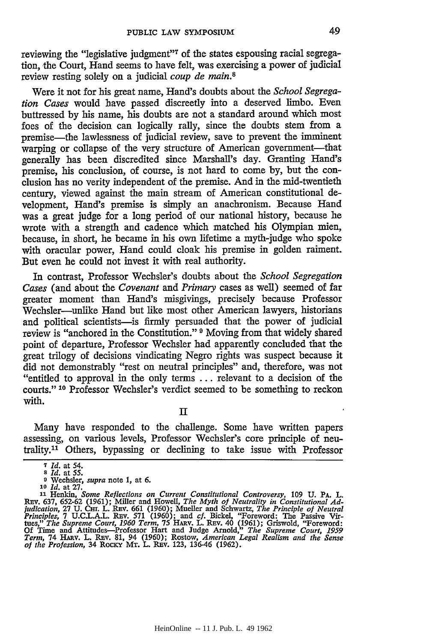reviewing the "legislative judgment"<sup>7</sup> of the states espousing racial segregation, the Court, Hand seems to have felt, was exercising a power of judicial review resting solely on a judicial *coup de main.8*

Were it not for his great name, Hand's doubts about the *School Segregation Cases* would have passed discreetly into a deserved limbo. Even buttressed by his name, his doubts are not a standard around which most foes of the decision can logically rally, since the doubts stem from a premise-the lawlessness of judicial review, save to prevent the imminent warping or collapse of the very structure of American government-that generally has been discredited since Marshall's day. Granting Hand's premise, his conclusion, of course, is not hard to come by, but the conclusion has no verity independent of the premise. And in the mid-twentieth century, viewed against the main stream of American constitutional development, Hand's premise is simply an anachronism. Because Hand was a great judge for a long period of our national history, because he wrote with a strength and cadence which matched his Olympian mien, because, in short, he became in his own lifetime a myth-judge who spoke with oracular power, Hand could cloak his premise in golden raiment. But even he could not invest it with real authority.

In contrast, Professor Wechsler's doubts about the *School Segregation Cases* (and about the *Covenant and Primary* cases as well) seemed of far greater moment than Hand's misgivings, precisely because Professor Wechsler-unlike Hand but like most other American lawyers, historians and political scientists-is firmly persuaded that the power of judicial review is "anchored in the Constitution." **9** Moving from that widely shared point of departure, Professor Wechsler had apparently concluded that the great trilogy of decisions vindicating Negro rights was suspect because it did not demonstrably "rest on neutral principles" and, therefore, was not "entitled to approval in the only terms ... relevant to a decision of the courts." **10** Professor Wechsler's verdict seemed to be something to reckon with.

Many have responded to the challenge. Some have written papers assessing, on various levels, Professor Wechsler's core principle of neutrality. 1 Others, bypassing or declining to take issue with Professor

**<sup>7</sup>***Id.* at 54. *8 Id.* at **55.**

**<sup>0</sup>**Wechsler, *supra* note **1,** at **6.** *10 Id.* at **27.**

<sup>&</sup>lt;sup>11</sup> Henkin, *Some Reflections on Current Constitutional Controversy*, 109 U. PA. L.<br>Rev. 637, 652-62 (1961); Miller and Howell, *The Myth of Neutrality in Constitutional Ad-*<br>judication, 27 U. CH. L. Rev. 661 (1960); Muel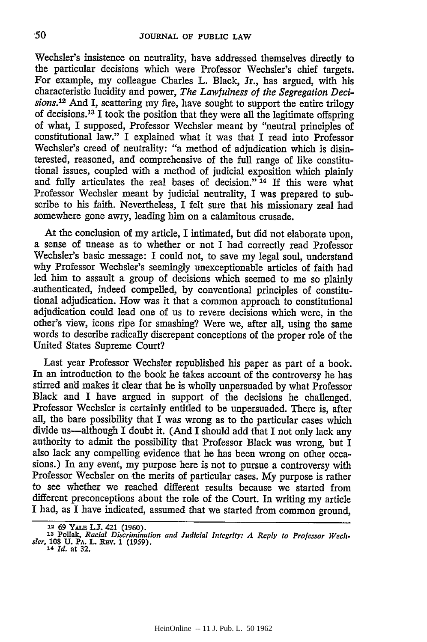Wechsler's insistence on neutrality, have addressed themselves directly to the particular decisions which were Professor Wechsler's chief targets. For example, my colleague Charles L. Black, Jr., has argued, with his characteristic lucidity and power, *The Lawfulness of the Segregation Decisions.1<sup>2</sup>*And I, scattering my fire, have sought to support the entire trilogy of decisions. 13 I took the position that they were all the legitimate offspring of what, I supposed, Professor Wechsler meant by "neutral principles of constitutional law." I explained what it was that I read into Professor Wechsler's creed of neutrality: "a method of adjudication which is disinterested, reasoned, and comprehensive of the full range of like constitutional issues, coupled with a method of judicial exposition which plainly and fully articulates the real bases of decision." **14 If** this were what Professor Wechsler meant by judicial neutrality, I was prepared to subscribe to his faith. Nevertheless, I felt sure that his missionary zeal had somewhere gone awry, leading him on a calamitous crusade.

At the conclusion of my article, I intimated, but did not elaborate upon, a sense of unease as to whether or not I had correctly read Professor Wechsler's basic message: I could not, to save my legal soul, understand why Professor Wechsler's seemingly unexceptionable articles of faith had led him to assault a group of decisions which seemed to me so plainly authenticated, indeed compelled, by conventional principles of constitutional adjudication. How was it that a common approach to constitutional adjudication could lead one of us to revere decisions which were, in the other's view, icons ripe for smashing? Were we, after all, using the same words to describe radically discrepant conceptions of the proper role of the United States Supreme Court?

Last year Professor Wechsler republished his paper as part of a book. In an introduction to the book he takes account of the controversy he has stirred and makes it clear that he is wholly unpersuaded by what Professor Black and I have argued in support of the decisions he challenged. Professor Wechsler is certainly entitled to be unpersuaded. There is, after all, the bare possibility that I was wrong as to the particular cases which divide us-although I doubt it. (And I should add that I not only lack any authority to admit the possibility that Professor Black was wrong, but I also lack any compelling evidence that he has been wrong on other occasions.) In any event, my purpose here is not to pursue a controversy with Professor Wechsler on the merits of particular cases. My purpose is rather to see whether we reached different results because we started from different preconceptions about the role of the Court. In writing my article I had, as I have indicated, assumed that we started from common ground,

**<sup>12</sup>69 Y. LJ. 421 (1960).**

**<sup>13</sup>** Pollak, *Racial Discrimination and Judicial Integrity: A Reply to Professor Weehsler,* **108 U.** PA. **L. REv. 1 (1959). <sup>14</sup>***Id.* at **32.**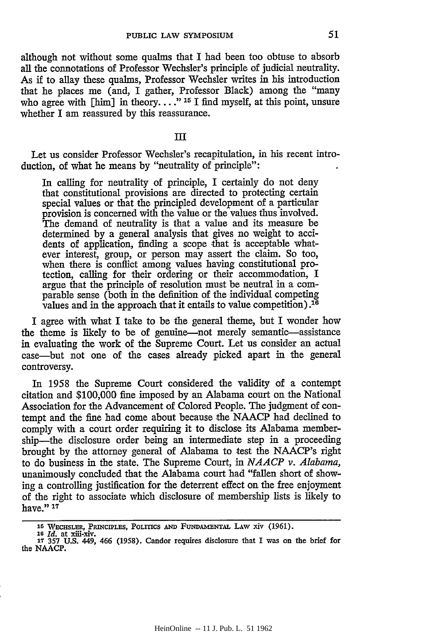although not without some qualms that I had been too obtuse to absorb all the connotations of Professor Wechsler's principle of judicial neutrality. As if to allay these qualms, Professor Wechsler writes in his introduction that he places me (and, I gather, Professor Black) among the "many who agree with [him] in theory. **... " 15** 1 find myself, at this point, unsure whether I am reassured by this reassurance.

## **III**

Let us consider Professor Wechsler's recapitulation, in his recent introduction, of what he means by "neutrality of principle":

In calling for neutrality of principle, I certainly do not deny that constitutional provisions are directed to protecting certain special values or that the principled development of a particular provision is concerned with the value or the values thus involved. The demand of neutrality is that a value and its measure be determined by a general analysis that gives no weight to accidents of application, finding a scope that is acceptable whatever interest, group, or person may assert the claim. So too, when there is conflict among values having constitutional protection, calling for their ordering or their accommodation, I argue that the principle of resolution must be neutral in a comparable sense (both in the definition of the individual competing values and in the approach that it entails to value competition).<sup>16</sup>

I agree with what I take to be the general theme, but I wonder how the theme is likely to be of genuine—not merely semantic—assistance in evaluating the work of the Supreme Court. Let us consider an actual case-but not one of the cases already picked apart in the general controversy.

In 1958 the Supreme Court considered the validity of a contempt citation and \$100,000 fine imposed by an Alabama court on the National Association for the Advancement of Colored People. The judgment of contempt and the fine had come about because the NAACP had declined to comply with a court order requiring it to disclose its Alabama membership—the disclosure order being an intermediate step in a proceeding brought by the attorney general of Alabama to test the NAACP's right to do business in the state. The Supreme Court, in *NAACP v. Alabama,* unanimously concluded that the Alabama court had "fallen short of showing a controlling justification for the deterrent effect on the free enjoyment of the right to associate which disclosure of membership lists is likely to have." **17**

<sup>15</sup> WECHSLER, PRINCIPLES, POLITICS AND FUNDAMENTAL LAW xiv (1961).

**<sup>10</sup>***Id.* at **XM-yIv. 17 357 U.S.** 449, 466 **(1958).** Candor requires disclosure that I was **on** the brief for the **NAACP.**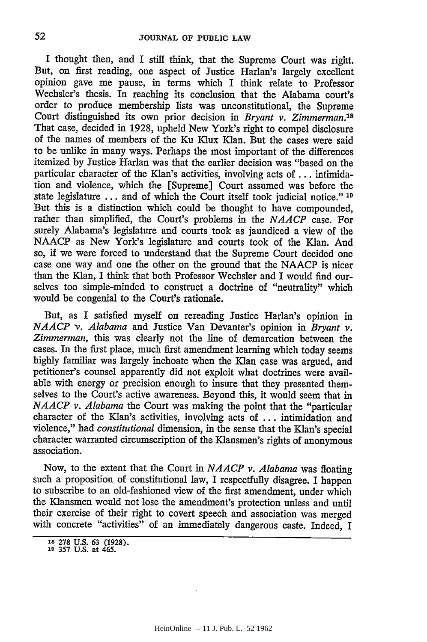I thought then, and I still think, that the Supreme Court was right. But, on first reading, one aspect of Justice Harlan's largely excellent opinion gave me pause, in terms which I think relate to Professor Wechsler's thesis. In reaching its conclusion that the Alabama court's order to produce membership lists was unconstitutional, the Supreme Court distinguished its own prior decision in *Bryant v. Zimmerman."8* That case, decided in 1928, upheld New York's right to compel disclosure of the names of members of the Ku Klux Klan. But the cases were said to be unlike in many ways. Perhaps the most important of the differences itemized by Justice Harlan was that the earlier decision was "based on the particular character of the Klan's activities, involving acts of ... intimidation and violence, which the [Supreme] Court assumed was before the state legislature ... and of which the Court itself took judicial notice." **19** But this is a distinction which could be thought to have compounded, rather than simplified, the Court's problems in the *NAACP* case. For surely Alabama's legislature and courts took as jaundiced a view of the NAACP as New York's legislature and courts took of the Klan. And so, if we were forced to understand that the Supreme Court decided one case one way and one the other on the ground that the NAACP is nicer than the Klan, I think that both Professor Wechsler and I would find ourselves too simple-minded to construct a doctrine of "neutrality" which would be congenial to the Court's rationale.

But, as I satisfied myself on rereading Justice Harlan's opinion in *NAACP v. Alabama* and Justice Van Devanter's opinion in *Bryant v. Zimmerman,* this was clearly not the line of demarcation between the cases. In the first place, much first amendment learning which today seems highly familiar was largely inchoate when the Klan case was argued, and petitioner's counsel apparently did not exploit what doctrines were available with energy or precision enough to insure that they presented themselves to the Court's active awareness. Beyond this, it would seem that in *NAACP v. Alabama* the Court was making the point that the "particular character of the Klan's activities, involving acts of ... intimidation and violence," had *constitutional* dimension, in the sense that the Klan's special character warranted circumscription of the Klansmen's rights of anonymous association.

Now, to the extent that the Court in *NAACP v. Alabama* was floating such a proposition of constitutional law, I respectfully disagree. I happen to subscribe to an old-fashioned view of the first amendment, under which the Klansmen would not lose the amendment's protection unless and until their exercise of their right to covert speech and association was merged with concrete "activities" of an immediately dangerous caste. Indeed, I

**<sup>18</sup> 278 U.S. 63 (1928).**

**<sup>19</sup> 357 U.S.** at 465.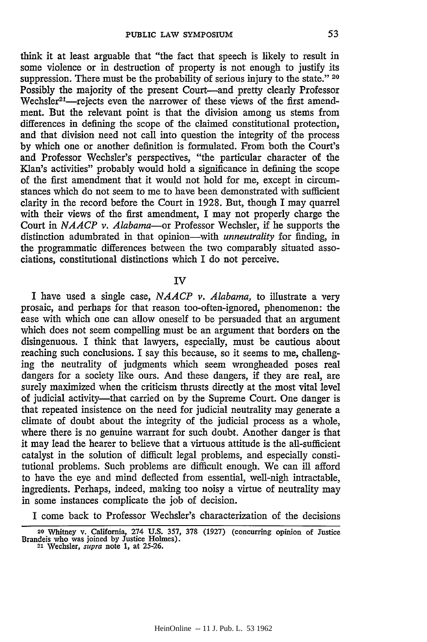think it at least arguable that "the fact that speech is likely to result in some violence or in destruction of property is not enough to justify its suppression. There must be the probability of serious injury to the state." 20 Possibly the majority of the present Court-and pretty clearly Professor Wechsler<sup>21</sup>—rejects even the narrower of these views of the first amendment. But the relevant point is that the division among us stems from differences in defining the scope of the claimed constitutional protection, and that division need not call into question the integrity of the process by which one or another definition is formulated. From both the Court's and Professor Wechsler's perspectives, "the particular character of the Klan's activities" probably would hold a significance in defining the scope of the first amendment that it would not hold for me, except in circumstances which do not seem to me to have been demonstrated with sufficient clarity in the record before the Court in 1928. But, though I may quarrel with their views of the first amendment, I may not properly charge the Court in *NAACP v. Alabama-or* Professor Wechsler, if he supports the distinction adumbrated in that opinion-with *unneutrality* for finding, in the programmatic differences between the two comparably situated associations, constitutional distinctions which I do not perceive.

IV

I have used a single case, *NAACP v. Alabama,* to illustrate a very prosaic, and perhaps for that reason too-often-ignored, phenomenon: the ease with which one can allow oneself to be persuaded that an argument which does not seem compelling must be an argument that borders on the disingenuous. I think that lawyers, especially, must be cautious about reaching such conclusions. I say this because, so it seems to me, challenging the neutrality of judgments which seem wrongheaded poses real dangers for a society like ours. And these dangers, if they are real, are surely maximized when the criticism thrusts directly at the most vital level of judicial activity-that carried on by the Supreme Court. One danger is that repeated insistence on the need for judicial neutrality may generate a climate of doubt about the integrity of the judicial process as a whole, where there is no genuine warrant for such doubt. Another danger is that it may lead the hearer to believe that a virtuous attitude is the all-sufficient catalyst in the solution of difficult legal problems, and especially constitutional problems. Such problems are difficult enough. We can ill afford to have the eye and mind deflected from essential, well-nigh intractable, ingredients. Perhaps, indeed, making too noisy a virtue of neutrality may in some instances complicate the job of decision.

I come back to Professor Wechsler's characterization of the decisions

**<sup>20</sup>**Whitney **v.** California, 274 **U.S. 357, 378 (1927)** (concurring opinion **of** Justice Brandeis who was joined **by** Justice Holmes). **<sup>21</sup>**Wechsler, *supra* note **1,** at **25-26.**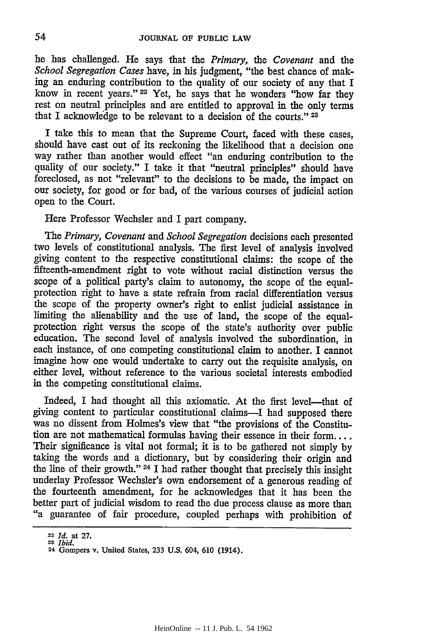he has challenged. He says that the *Primary, the Covenant* and the *School Segregation Cases* have, in his judgment, "the best chance of making an enduring contribution to the quality of our society of any that I know in recent years." 22 Yet, he says that he wonders "how far they rest on neutral principles and are entitled to approval in the only terms that I acknowledge to be relevant to a decision of the courts." **<sup>23</sup>**

I take this to mean that the Supreme Court, faced with these cases, should have cast out of its reckoning the likelihood that a decision one way rather than another would effect "an enduring contribution to the quality of our society." I take it that "neutral principles" should have foreclosed, as not "relevant" to the decisions to be made, the impact on our society, for good or for bad, of the various courses of judicial action open to the Court.

Here Professor Wechsler and I part company.

*The Primary, Covenant and School Segregation* decisions each presented two levels of constitutional analysis. The first level of analysis involved giving content to the respective constitutional claims: the scope of the fifteenth-amendment right to vote without racial distinction versus the scope of a political party's claim to autonomy, the scope of the equal- protection right to have a state refrain from racial differentiation versus the scope of the property owner's right to enlist judicial assistance in limiting the alienability and the use of land, the scope of the equalprotection right versus the scope of the state's authority over public education. The second level of analysis involved the subordination, in each instance, of one competing constitutional claim to another. I cannot imagine how one would undertake to carry out the requisite analysis, on either level, without reference to the various societal interests embodied in the competing constitutional claims.

Indeed, I had thought all this axiomatic. At the first level-that of giving content to particular constitutional claims-I had supposed there was no dissent from Holmes's view that "the provisions of the Constitution are not mathematical formulas having their essence in their form.... Their significance is vital not formal; it is to be gathered not simply by taking the words and a dictionary, but by considering their origin and the line of their growth." 24 I had rather thought that precisely this insight underlay Professor Wechsler's own endorsement of a generous reading of the fourteenth amendment, for he acknowledges that it has been the better part of judicial wisdom to read the due process clause as more than "a guarantee of fair procedure, coupled perhaps with prohibition of

**<sup>22</sup>***Id.* at **27. 23** *Ibid.*

**<sup>24</sup>**Gompers v. United States, **233 U.S.** 604, **610** (1914).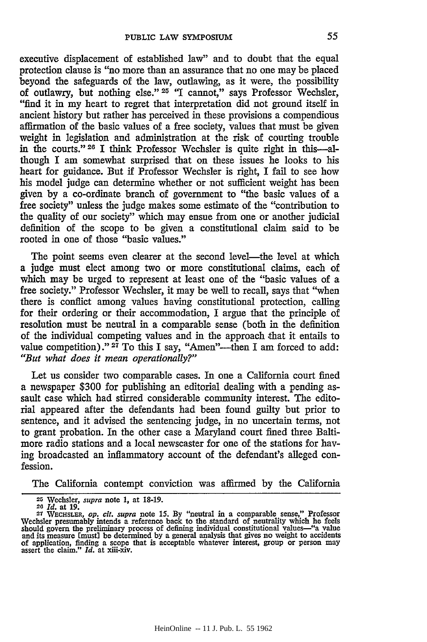executive displacement of established law" and to doubt that the equal protection clause is "no more than an assurance that no one may be placed beyond the safeguards of the law, outlawing, as it were, the possibility of outlawry, but nothing else." **25** "1 cannot," says Professor Wechsler, "find it in my heart to regret that interpretation did not ground itself in ancient history but rather has perceived in these provisions a compendious affirmation of the basic values of a free society, values that must be given weight in legislation and administration at the risk of courting trouble in the courts." **26** I think Professor Wechsler is quite right in this-although I am somewhat surprised that on these issues he looks to his heart for guidance. But if Professor Wechsler is right, I fail to see how his model judge can determine whether or not sufficient weight has been given by a co-ordinate branch of government to "the basic values of a free society" unless the judge makes some estimate of the "contribution to the quality of our society" which may ensue from one or another judicial definition of the scope to be given a constitutional claim said to be rooted in one of those "basic values."

The point seems even clearer at the second level—the level at which a judge must elect among two or more constitutional claims, each of which may be urged to represent at least one of the "basic values of a free society." Professor Wechsler, it may be well to recall, says that "when there is conflict among values having constitutional protection, calling for their ordering or their accommodation, I argue that the principle of resolution must be neutral in a comparable sense (both in the definition of the individual competing values and in the approach that it entails to value competition)." <sup>27</sup> To this I say, "Amen"—then I am forced to add: *"But what does it mean operationally?"*

Let us consider two comparable cases. In one a California court fined a newspaper \$300 for publishing an editorial dealing with a pending assault case which had stirred considerable community interest. The editorial appeared after the defendants had been found guilty but prior to sentence, and it advised the sentencing judge, in no uncertain terms, not to grant probation. In the other case a Maryland court fined three Baltimore radio stations and a local newscaster for one of the stations for having broadcasted an inflammatory account of the defendant's alleged confession.

The California contempt conviction was affirmed by the California

**<sup>25</sup>**Wechsler, *supra* note **1,** at 18-19.

*<sup>2 4</sup> Id.* at 19.

**<sup>27</sup> WECHSLER,** *op. cit. supra* note **15.** By "neutral in a comparable sense," Professor Wechsler presumably intends a reference back to the standard of neutrality which he feels<br>should govern the preliminary process of defining individual constitutional values—"a value<br>and its measure Imust] be determined by of application, finding a scope that is acceptable whatever interest, group or person may assert the claim." *Id.* at xiii-xiv.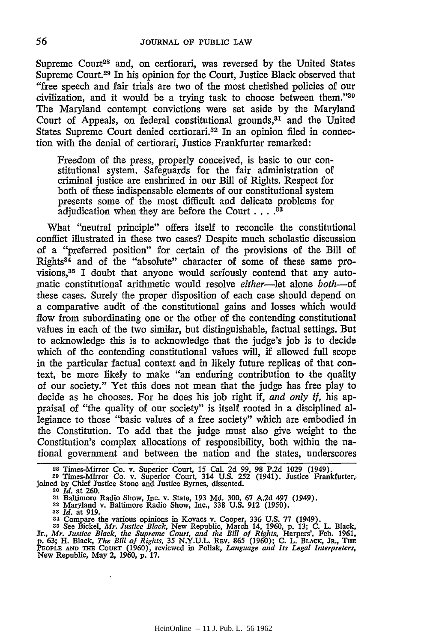Supreme Court<sup>28</sup> and, on certiorari, was reversed by the United States Supreme Court.29 In his opinion for the Court, Justice Black observed that "free speech and fair trials are two of the most cherished policies of our civilization, and it would be a trying task to choose between them."30 The Maryland contempt convictions were set aside by the Maryland Court of Appeals, on federal constitutional grounds,<sup>31</sup> and the United States Supreme Court denied certiorari.<sup>32</sup> In an opinion filed in connection with the denial of certiorari, Justice Frankfurter remarked:

Freedom of the press, properly conceived, is basic to our constitutional system. Safeguards for the fair administration of criminal justice are enshrined in our Bill of Rights. Respect for both of these indispensable elements of our constitutional system presents some of the most difficult and delicate problems for adjudication when they are before the Court . . **.3**

What "neutral principle" offers itself to reconcile the constitutional conflict illustrated in these two cases? Despite much scholastic discussion of a "preferred position" for certain of the provisions of the Bill of Rights34 and of the "absolute" character of some of these same provisions, $35$  I doubt that anyone would seriously contend that any automatic constitutional arithmetic would resolve *either-let* alone *both--of* these cases. Surely the proper disposition of each case should depend on a comparative audit of the constitutional gains and losses which would flow from subordinating one or the other of the contending constitutional values in each of the two similar, but distinguishable, factual settings. But to acknowledge this is to acknowledge that the judge's job is to decide which of the contending constitutional values will, if allowed full scope in the particular factual context and in likely future replicas of that context, be more likely to make "an enduring contribution to the quality of our society." Yet this does not mean that the judge has free play to decide as he chooses. For he does his job right if, *and only if,* his appraisal of "the quality of our society" is itself rooted in a disciplined allegiance to those "basic values of a free society" which are embodied in the Constitution. To add that the judge must also give weight to the Constitution's complex allocations of responsibility, both within the national government and between the nation and the states, underscores

- 
- **<sup>33</sup>***Id.* at **919.**

<sup>&</sup>lt;sup>28</sup> Times-Mirror Co. v. Superior Court, 15 Cal. 2d 99, 98 P.2d 1029 (1949).<br><sup>29</sup> Times-Mirror Co. v. Superior Court, 314 U.S. 252 (1941). Justice Frankfurter,<br>joined by Chief Justice Stone and Justice Byrnes, dissented.<br><sup></sup>

**<sup>3&#</sup>x27;** Baltimore Radio Show, Inc. v. State, **193 Md. 300, 67 A.2d** 497 (1949). **<sup>32</sup>**Maryland v. Baltimore Radio Show, Inc., **338 U.S. 912 (1950).**

**<sup>34</sup>** Compare the various opinions in Kovacs v. Cooper, **336 U.S. 77** (1949). **35** See Bickel, *Mr. Justice Black,* New Republic, March 14, **1960, p. 13; C.** L. Black,

Jr., Mr. Justice Black, the Supreme Court, and the Bill of Rights, Harpers', Feb. 1961, p. 63; H. Black, The Bill of Rights, 35 N.Y.U.L. REv. 865 (1960); C. L. BLACK, JR., THE PEOPLE AND THE COURT (1960), reviewed in Polla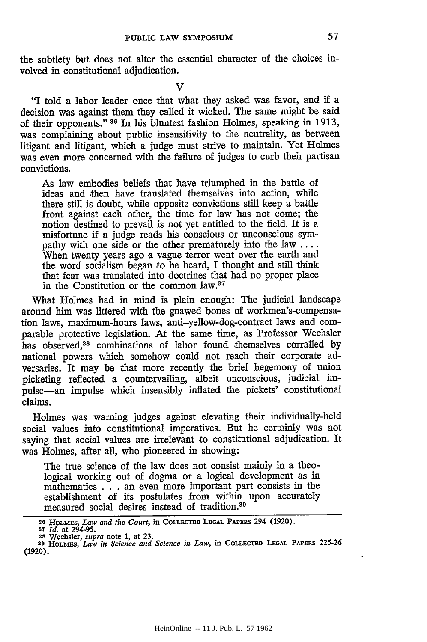the subtlety but does not alter the essential character of the choices involved in constitutional adjudication.

**V**

"I told a labor leader once that what they asked was favor, and if a decision was against them they called it wicked. The same might be said of their opponents." **31** In his bluntest fashion Holmes, speaking in 1913, was complaining about public insensitivity to the neutrality, as between litigant and litigant, which a judge must strive to maintain. Yet Holmes was even more concerned with the failure of judges to curb their partisan convictions.

As law embodies beliefs that have triumphed in the battle of ideas and then have translated themselves into action, while there still is doubt, while opposite convictions still keep a battle front against each other, the time for law has not come; the notion destined to prevail is not yet entitled to the field. It is a misfortune if a judge reads his conscious or unconscious sympathy with one side or the other prematurely into the law **....** When twenty years ago a vague terror went over the earth and the word socialism began to be heard, I thought and still think that fear was translated into doctrines that had no proper place in the Constitution or the common law.37

What Holmes had in mind is plain enough: The judicial landscape around him was littered with the gnawed bones of workmen's-compensation laws, maximum-hours laws, anti-yellow-dog-contract laws and comparable protective legislation. At the same time, as Professor Wechsler has observed,<sup>38</sup> combinations of labor found themselves corralled by national powers which somehow could not reach their corporate adversaries. It may be that more recently the brief hegemony of union picketing reflected a countervailing, albeit unconscious, judicial impulse-an impulse which insensibly inflated the pickets' constitutional claims.

Holmes was warning judges against elevating their individually-held social values into constitutional imperatives. But he certainly was not saying that social values are irrelevant to constitutional adjudication. It was Holmes, after all, who pioneered in showing:

The true science of the law does not consist mainly in a theological working out of dogma or a logical development as in mathematics . . . an even more important part consists in the establishment of its postulates from within upon accurately measured social desires instead of tradition.<sup>39</sup>

**<sup>3</sup>o HOLMES,** *Law and the Court,* **in COLLECTED LEGAL PAPERS 294 (1920). 37** *Id.* **at 294-95.**

**<sup>38</sup> Wechsler,** *supra* note **1, at 23.** s9 **HOLMES,** *Law in Science and Science in Law,* in **COLLECTED LEGAL PAPERS 225-26 (1920).**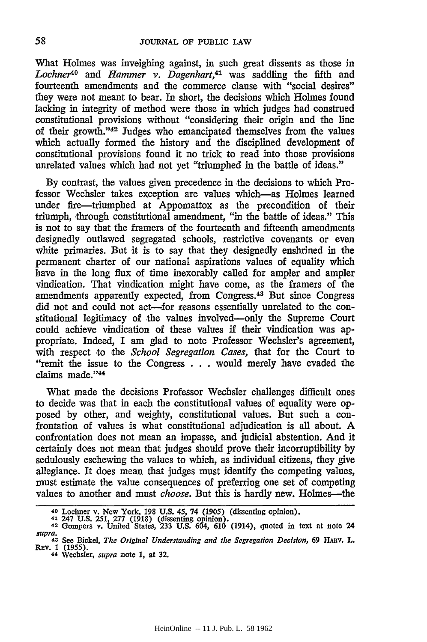What Holmes was inveighing against, in such great dissents as those in *Lochner10 and Hammer v. Dagenhart,41* was saddling the fifth and fourteenth amendments and the commerce clause with "social desires" they were not meant to bear. In short, the decisions which Holmes found lacking in integrity of method were those in which judges had construed constitutional provisions without "considering their origin and the line of their growth. '42 Judges who emancipated themselves from the values which actually formed the history and the disciplined development of constitutional provisions found it no trick to read into those provisions unrelated values which had not yet "triumphed in the battle of ideas."

By contrast, the values given precedence in the decisions to which Professor Wechsler takes exception are values which-as Holmes learned under fire-triumphed at Appomattox as the precondition of their triumph, through constitutional amendment, "in the battle of ideas." This is not to say that the framers of the fourteenth and fifteenth amendments designedly outlawed segregated schools, restrictive covenants or even white primaries. But it is to say that they designedly enshrined in the permanent charter of our national aspirations values of equality which have in the long flux of time inexorably called for ampler and ampler vindication. That vindication might have come, as the framers of the amendments apparently expected, from Congress.43 But since Congress did not and could not act---for reasons essentially unrelated to the constitutional legitimacy of the values involved-only the Supreme Court could achieve vindication of these values if their vindication was appropriate. Indeed, I am glad to note Professor Wechsler's agreement, with respect to the *School Segregation Cases,* that for the Court to "remit the issue to the Congress . . **.** would merely have evaded the claims made."44

What made the decisions Professor Wechsler challenges difficult ones to decide was that in each the constitutional values of equality were opposed by other, and weighty, constitutional values. But such a confrontation of values is what constitutional adjudication is all about. A confrontation does not mean an impasse, and judicial abstention. And it certainly does not mean that judges should prove their incorruptibility by sedulously eschewing the values to which, as individual citizens, they give allegiance. It does mean that judges must identify the competing values, must estimate the value consequences of preferring one set of competing values to another and must *choose*. But this is hardly new. Holmes—the

58

<sup>40</sup> Lochner v. New York, 198 U.S. 45, 74 (1905) (dissenting opinion).<br>41 247 U.S. 251, 277 (1918) (dissenting opinion).<br>42 Gompers v. United States. 233 U.S. 604, 610 (1914), quoted in text at note 24

supra,<br> $43$  See Bickel, The Original Understanding and the Segregation Decision, 69 HARV. L.<br>REV. 1 (1955).<br> $44$  Wechsler, *supra* note 1, at 32.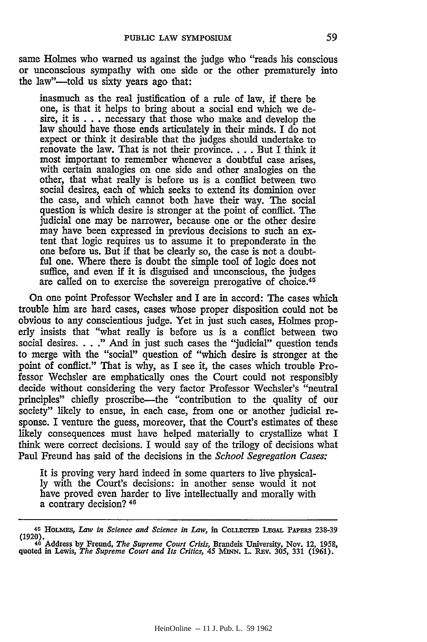same Holmes who warned us against the judge who "reads his conscious or unconscious sympathy with one side or the other prematurely into the law"-told us sixty years ago that:

inasmuch as the real justification of a rule of law, if there be one, is that it helps to bring about a social end which we desire, it is  $\ldots$  necessary that those who make and develop the law should have those ends articulately in their minds. I do not expect or think it desirable that the judges should undertake to renovate the law. That is not their province **....** But I think it most important to remember whenever a doubtful case arises, with certain analogies on one side and other analogies on the other, that what really is before us is a conflict between two social desires, each of which seeks to extend its dominion over the case, and which cannot both have their way. The social question is which desire is stronger at the point of conflict. The judicial one may be narrower, because one or the other desire may have been expressed in previous decisions to such an extent that logic requires us to assume it to preponderate in the one before us. But if that be clearly so, the case is not a doubt**ful** one. Where there is doubt the simple tool of logic does not suffice, and even if it is disguised and unconscious, the judges are called on to exercise the sovereign prerogative of choice.<sup>45</sup>

On one point Professor Wechsler and I are in accord: The cases which trouble him are hard cases, cases whose proper disposition could not be obvious to any conscientious judge. Yet in just such cases, Holmes properly insists that "what really is before us is a conflict between two social desires. . . **."** And in just such cases the "judicial" question tends to merge with the "social" question of "which desire is stronger at the point of conflict." That is why, as I see it, the cases which trouble Professor Wechsler are emphatically ones the Court could not responsibly decide without considering the very factor Professor Wechsler's "neutral principles" chiefly proscribe-the "contribution to the quality of our society" likely to ensue, in each case, from one or another judicial response. I venture the guess, moreover, that the Court's estimates of these likely consequences must have helped materially to crystallize what I think were correct decisions. I would say of the trilogy of decisions what Paul Freund has said of the decisions in the *School Segregation Cases:*

It is proving very hard indeed in some quarters to live physical- ly with the Court's decisions: in another sense would it not have proved even harder to live intellectually and morally with a contrary decision? 46

<sup>45</sup>**HoLErs,** *Law in Science and Science in Law,* in **CoLLECTEm LEGAL** PAPERS **238-39 (1920). 40 Address by Freund,** *The Supreme Court Crisis,* Brandeis **University, Nov.** 12, **1958,**

**quoted in Lewis,** *The Supreme Court and Its Critics, 45* **MJNN. L. REv. 305, 331 (1961).**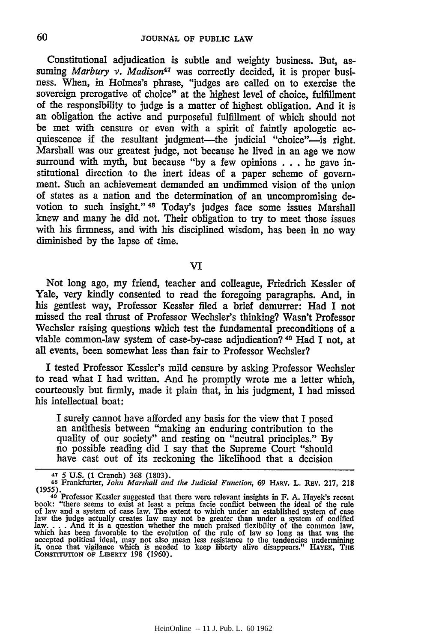Constitutional adjudication is subtle and weighty business. But, assuming *Marbury v. Madison<sup>47</sup>* was correctly decided, it is proper business. When, in Holmes's phrase, "judges are called on to exercise the sovereign prerogative of choice" at the highest level of choice, fulfillment of the responsibility to judge is a matter of highest obligation. And it is an obligation the active and purposeful fulfillment of which should not be met with censure or even with a spirit of faintly apologetic acquiescence if the resultant judgment-the judicial "choice"-is right. Marshall was our greatest judge, not because he lived in an age we now surround with myth, but because "by a few opinions . . . he gave institutional direction to the inert ideas of a paper scheme of government. Such an achievement demanded an undimmed vision of the union of states as a nation and the determination of an uncompromising devotion to such insight." 48 Today's judges face some issues Marshall knew and many he did not. Their obligation to try to meet those issues with his firmness, and with his disciplined wisdom, has been in no way diminished by the lapse of time.

VI

Not long ago, my friend, teacher and colleague, Friedrich Kessler of Yale, very kindly consented to read the foregoing paragraphs. And, in his gentlest way, Professor Kessler filed a brief demurrer: Had I not missed the real thrust of Professor Wechsler's thinking? Wasn't Professor Wechsler raising questions which test the fundamental preconditions of a viable common-law system of case-by-case adjudication? 49 Had I not, at all events, been somewhat less than fair to Professor Wechsler?

I tested Professor Kessler's mild censure by asking Professor Wechsler to read what I had written. And he promptly wrote me a letter which, courteously but firmly, made it plain that, in his judgment, I had missed his intellectual boat:

I surely cannot have afforded any basis for the view that I posed an antithesis between "making an enduring contribution to the quality of our society" and resting on "neutral principles." By no possible reading did I say that the Supreme Court "should have cast out of its reckoning the likelihood that a decision

<sup>&</sup>lt;sup>47</sup> 5 U.S. (1 Cranch) 368 (1803).<br><sup>48</sup> Frankfurter, *John Marshall and the Judicial Function*, 69 HARV. L. REV. 217, 218<br>(1955).<br><sup>49</sup> Professor Kessler suggested that there were relevant insights in F. A. Hayek's recent

book: "there seems to exist at least a prima facie conflict between the ideal of the rule<br>of law and a system of case law. The extent to which under an established system of case<br>law the judge actually creates law may not law. . **.** . And it is a question whether the much praised flexibility of the common law, which has been favorable to the evolution of the rule of law so long as that was the accepted political ideal, may not also mean less resistance to the tendencies undermining it, once that vigilance which is needed to keep liberty alive disappears." HAYEK, Tim CONSTrUTION **OF** LIBERTY 198 (1960).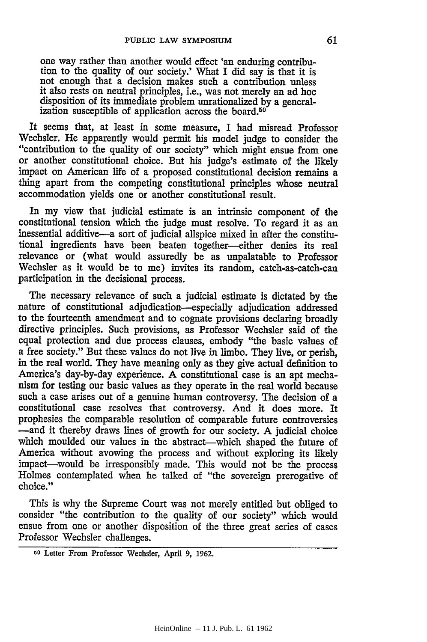one way rather than another would effect 'an enduring contribution to the quality of our society.' What I did say is that it is not enough that a decision makes such a contribution unless it also rests on neutral principles, i.e., was not merely an ad hoc disposition of its immediate problem unrationalized by a generalization susceptible of application across the board.<sup>50</sup>

It seems that, at least in some measure, I had misread Professor Wechsler. He apparently would permit his model judge to consider the "contribution to the quality of our society" which might ensue from one or another constitutional choice. But his judge's estimate of the likely impact on American life of a proposed constitutional decision remains a thing apart from the competing constitutional principles whose neutral accommodation yields one or another constitutional result.

In my view that judicial estimate is an intrinsic component of the constitutional tension which the judge must resolve. To regard it as an inessential additive-a sort of judicial allspice mixed in after the constitutional ingredients have been beaten together-either denies its real relevance or (what would assuredly be as unpalatable to Professor Wechsler as it would be to me) invites its random, catch-as-catch-can participation in the decisional process.

The necessary relevance of such a judicial estimate is dictated by the nature of constitutional adjudication—especially adjudication addressed<br>to the fourteenth amendment and to cognate provisions declaring broadly directive principles. Such provisions, as Professor Wechsler said of the equal protection and due process clauses, embody "the basic values of a free society." But these values do not live in limbo. They live, or perish, in the real world. They have meaning only as they give actual definition to America's day-by-day experience. A constitutional case is an apt mechanism for testing our basic values as they operate in the real world because such a case arises out of a genuine human controversy. The decision of a constitutional case resolves that controversy. And it does more. It prophesies the comparable resolution of comparable future controversies -and it thereby draws lines of growth for our society. A judicial choice which moulded our values in the abstract—which shaped the future of America without avowing the process and without exploring its likely impact-would be irresponsibly made. This would not be the process Holmes contemplated when he talked of "the sovereign prerogative of choice."

This is why the Supreme Court was not merely entitled but obliged to consider "the contribution to the quality of our society" which would ensue from one or another disposition of the three great series of cases Professor Wechsler challenges.

**GO** Letter From Professor Wechsler, April **9, 1962.**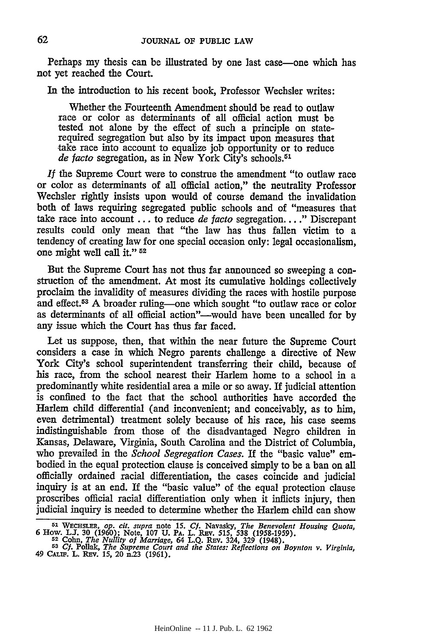Perhaps my thesis can be illustrated by one last case—one which has not yet reached the Court.

In the introduction to his recent book, Professor Wechsler writes:

Whether the Fourteenth Amendment should be read to outlaw race or color as determinants of all official action must be tested not alone by the effect of such a principle on staterequired segregation but also by its impact upon measures that take race into account to equalize **job** opportunity or to reduce *de facto* segregation, as in New York City's schools. <sup>51</sup>

*If* the Supreme Court were to construe the amendment "to outlaw race or color as determinants of all official action," the neutrality Professor Wechsler rightly insists upon would of course demand the invalidation both of laws requiring segregated public schools and of "measures that take race into account ... to reduce *de facto* segregation. ... " Discrepant results could only mean that "the law has thus fallen victim to a tendency of creating law for one special occasion only: legal occasionalism, one might well call it." **52**

But the Supreme Court has not thus far announced so sweeping a construction of the amendment. At most its cumulative holdings collectively proclaim the invalidity of measures dividing the races with hostile purpose and effect.<sup>53</sup> A broader ruling—one which sought "to outlaw race or color as determinants of all official action"---would have been uncalled for by any issue which the Court has thus far faced.

Let us suppose, then, that within the near future the Supreme Court considers a case in which Negro parents challenge a directive of New York City's school superintendent transferring their child, because of his race, from the school nearest their Harlem home to a school in a predominantly white residential area a mile or so away. **If** judicial attention is confined to the fact that the school authorities have accorded the Harlem child differential (and inconvenient; and conceivably, as to him, even detrimental) treatment solely because of his race, his case seems indistinguishable from those of the disadvantaged Negro children in Kansas, Delaware, Virginia, South Carolina and the District of Columbia, who prevailed in the *School Segregation Cases.* If the "basic value" embodied in the equal protection clause is conceived simply to be a ban on all officially ordained racial differentiation, the cases coincide and judicial inquiry is at an end. If the "basic value" of the equal protection clause proscribes official racial differentiation only when it inflicts injury, then judicial inquiry is needed to determine whether the Harlem child can show

62

**<sup>51</sup>**WECHSLER, *op. cit. supra* note *15. Cf.* Navasky, *The Benevolent Housing Quota,* **6 How.** *LU.* **30 (1960);** Note, **107 U.** PA. L. **RPv. 515, 538 (1958-1959). <sup>52</sup>Cohn,** *The Nullity of Marriage, 64* **L.Q. REv. 324, 329 (1948).**

**<sup>53</sup>***Cf. Polak, The Supreme Court and the States: Reflections on Boynton v. Virginia,* 49 CALIF. L. **REv.** *15,* 20 n.23 **(1961).**